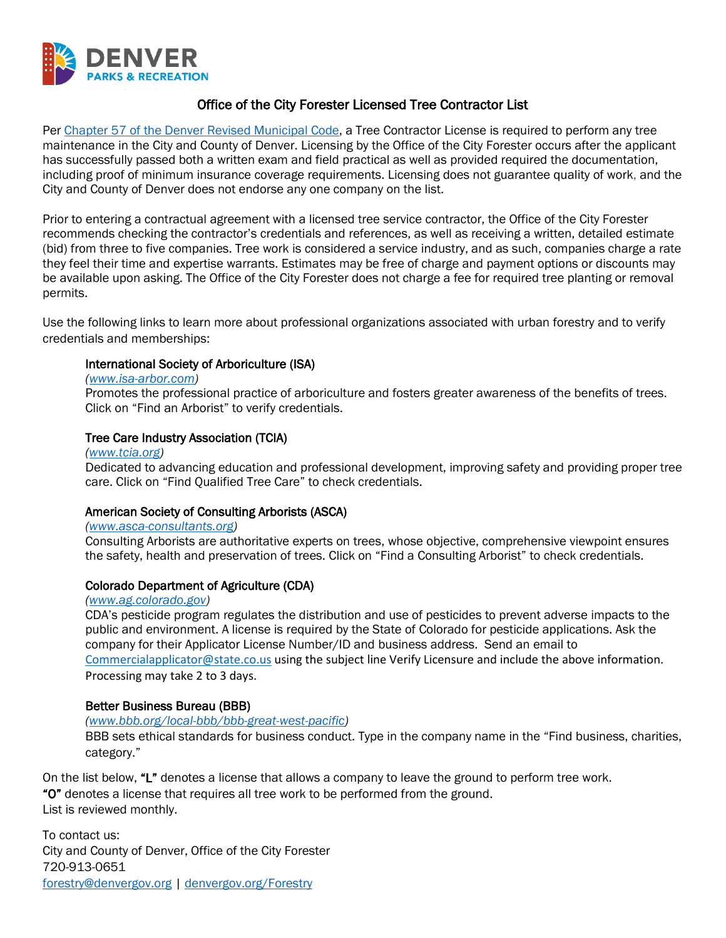

# Office of the City Forester Licensed Tree Contractor List

Per [Chapter 57 of the Denver Revised Municipal Code,](https://library.municode.com/co/denver/codes/code_of_ordinances?nodeId=TITIIREMUCO_CH57VE) a Tree Contractor License is required to perform any tree maintenance in the City and County of Denver. Licensing by the Office of the City Forester occurs after the applicant has successfully passed both a written exam and field practical as well as provided required the documentation, including proof of minimum insurance coverage requirements. Licensing does not guarantee quality of work, and the City and County of Denver does not endorse any one company on the list.

Prior to entering a contractual agreement with a licensed tree service contractor, the Office of the City Forester recommends checking the contractor's credentials and references, as well as receiving a written, detailed estimate (bid) from three to five companies. Tree work is considered a service industry, and as such, companies charge a rate they feel their time and expertise warrants. Estimates may be free of charge and payment options or discounts may be available upon asking. The Office of the City Forester does not charge a fee for required tree planting or removal permits.

Use the following links to learn more about professional organizations associated with urban forestry and to verify credentials and memberships:

### International Society of Arboriculture (ISA)

#### *[\(www.isa-arbor.com\)](http://www.isa-arbor.com/)*

Promotes the professional practice of arboriculture and fosters greater awareness of the benefits of trees. Click on "Find an Arborist" to verify credentials.

### Tree Care Industry Association (TCIA)

#### *[\(www.tcia.org\)](http://www.tcia.org/)*

Dedicated to advancing education and professional development, improving safety and providing proper tree care. Click on "Find Qualified Tree Care" to check credentials.

### American Society of Consulting Arborists (ASCA)

### *[\(www.asca-consultants.org\)](http://www.asca-consultants.org/)*

Consulting Arborists are authoritative experts on trees, whose objective, comprehensive viewpoint ensures the safety, health and preservation of trees. Click on "Find a Consulting Arborist" to check credentials.

## Colorado Department of Agriculture (CDA)

#### *[\(www.ag.colorado.gov\)](http://www.ag.colorado.gov/)*

CDA's pesticide program regulates the distribution and use of pesticides to prevent adverse impacts to the public and environment. A license is required by the State of Colorado for pesticide applications. Ask the company for their Applicator License Number/ID and business address. Send an email to [Commercialapplicator@state.co.us](mailto:Commercialapplicator@state.co.us) using the subject line Verify Licensure and include the above information. Processing may take 2 to 3 days.

### Better Business Bureau (BBB)

### *[\(www.bbb.org/local-bbb/bbb-great-west-pacific\)](http://www.bbb.org/local-bbb/bbb-great-west-pacific)*

BBB sets ethical standards for business conduct. Type in the company name in the "Find business, charities, category."

On the list below, "L" denotes a license that allows a company to leave the ground to perform tree work. "O" denotes a license that requires all tree work to be performed from the ground. List is reviewed monthly.

To contact us: City and County of Denver, Office of the City Forester 720-913-0651 [forestry@denvergov.org](mailto:forestry@denvergov.org) [| denvergov.org/Forestry](https://www.denvergov.org/Government/Agencies-Departments-Offices/Agencies-Departments-Offices-Directory/Parks-Recreation/Trees-Natural-Resources/Office-of-the-City-Forester)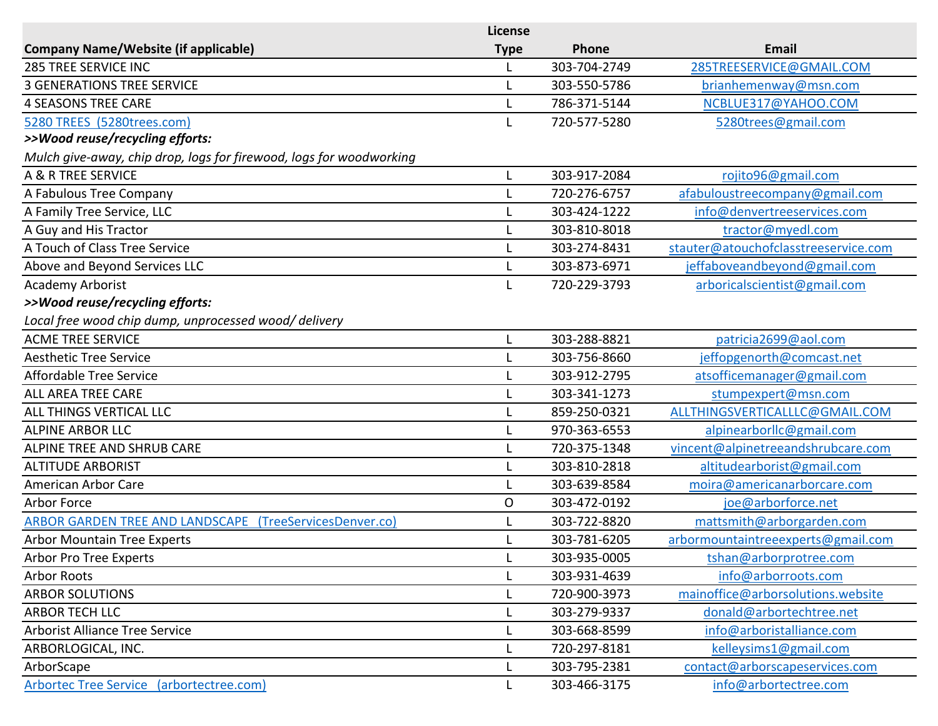|                                                                     | License     |              |                                      |
|---------------------------------------------------------------------|-------------|--------------|--------------------------------------|
| <b>Company Name/Website (if applicable)</b>                         | <b>Type</b> | Phone        | Email                                |
| <b>285 TREE SERVICE INC</b>                                         |             | 303-704-2749 | 285TREESERVICE@GMAIL.COM             |
| <b>3 GENERATIONS TREE SERVICE</b>                                   |             | 303-550-5786 | brianhemenway@msn.com                |
| <b>4 SEASONS TREE CARE</b>                                          |             | 786-371-5144 | NCBLUE317@YAHOO.COM                  |
| 5280 TREES (5280trees.com)                                          | L           | 720-577-5280 | 5280trees@gmail.com                  |
| >>Wood reuse/recycling efforts:                                     |             |              |                                      |
| Mulch give-away, chip drop, logs for firewood, logs for woodworking |             |              |                                      |
| A & R TREE SERVICE                                                  | L           | 303-917-2084 | rojito96@gmail.com                   |
| A Fabulous Tree Company                                             |             | 720-276-6757 | afabuloustreecompany@gmail.com       |
| A Family Tree Service, LLC                                          |             | 303-424-1222 | info@denvertreeservices.com          |
| A Guy and His Tractor                                               |             | 303-810-8018 | tractor@myedl.com                    |
| A Touch of Class Tree Service                                       |             | 303-274-8431 | stauter@atouchofclasstreeservice.com |
| Above and Beyond Services LLC                                       |             | 303-873-6971 | jeffaboveandbeyond@gmail.com         |
| <b>Academy Arborist</b>                                             |             | 720-229-3793 | arboricalscientist@gmail.com         |
| >>Wood reuse/recycling efforts:                                     |             |              |                                      |
| Local free wood chip dump, unprocessed wood/ delivery               |             |              |                                      |
| <b>ACME TREE SERVICE</b>                                            | L           | 303-288-8821 | patricia2699@aol.com                 |
| <b>Aesthetic Tree Service</b>                                       |             | 303-756-8660 | jeffopgenorth@comcast.net            |
| <b>Affordable Tree Service</b>                                      |             | 303-912-2795 | atsofficemanager@gmail.com           |
| <b>ALL AREA TREE CARE</b>                                           |             | 303-341-1273 | stumpexpert@msn.com                  |
| ALL THINGS VERTICAL LLC                                             |             | 859-250-0321 | ALLTHINGSVERTICALLLC@GMAIL.COM       |
| <b>ALPINE ARBOR LLC</b>                                             | L           | 970-363-6553 | alpinearborllc@gmail.com             |
| ALPINE TREE AND SHRUB CARE                                          |             | 720-375-1348 | vincent@alpinetreeandshrubcare.com   |
| <b>ALTITUDE ARBORIST</b>                                            | L           | 303-810-2818 | altitudearborist@gmail.com           |
| American Arbor Care                                                 |             | 303-639-8584 | moira@americanarborcare.com          |
| Arbor Force                                                         | O           | 303-472-0192 | joe@arborforce.net                   |
| ARBOR GARDEN TREE AND LANDSCAPE (TreeServicesDenver.co)             |             | 303-722-8820 | mattsmith@arborgarden.com            |
| <b>Arbor Mountain Tree Experts</b>                                  |             | 303-781-6205 | arbormountaintreeexperts@gmail.com   |
| Arbor Pro Tree Experts                                              | L           | 303-935-0005 | tshan@arborprotree.com               |
| <b>Arbor Roots</b>                                                  |             | 303-931-4639 | info@arborroots.com                  |
| <b>ARBOR SOLUTIONS</b>                                              | L           | 720-900-3973 | mainoffice@arborsolutions.website    |
| <b>ARBOR TECH LLC</b>                                               |             | 303-279-9337 | donald@arbortechtree.net             |
| <b>Arborist Alliance Tree Service</b>                               | L           | 303-668-8599 | info@arboristalliance.com            |
| ARBORLOGICAL, INC.                                                  |             | 720-297-8181 | kelleysims1@gmail.com                |
| ArborScape                                                          |             | 303-795-2381 | contact@arborscapeservices.com       |
| Arbortec Tree Service (arbortectree.com)                            | L           | 303-466-3175 | info@arbortectree.com                |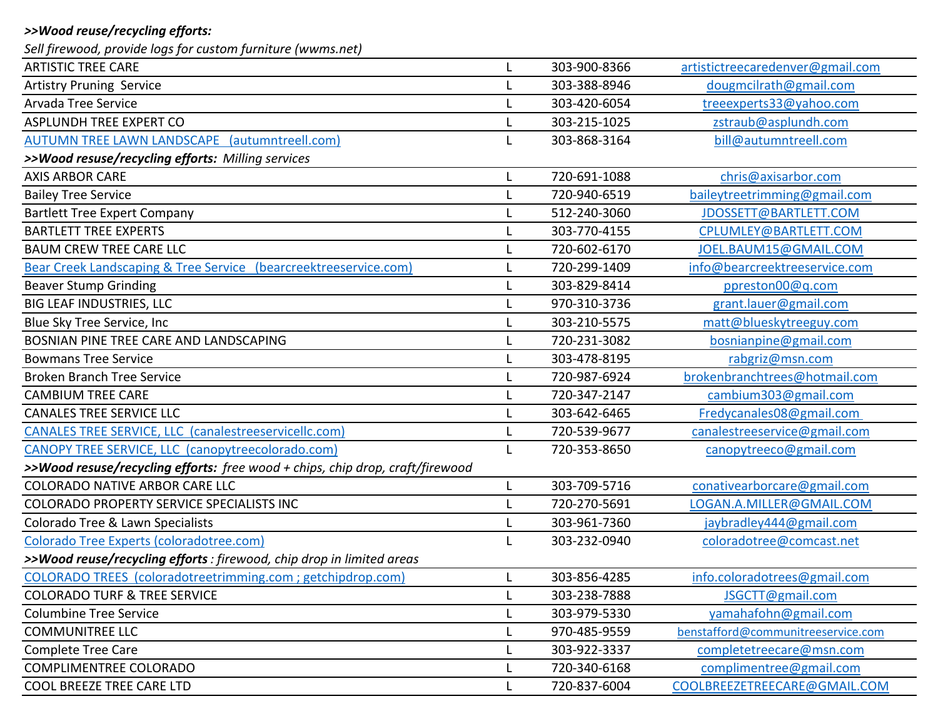# *>>Wood reuse/recycling efforts:*

*Sell firewood, provide logs for custom furniture (wwms.net)*

| <b>ARTISTIC TREE CARE</b>                                                     |   | 303-900-8366 | artistictreecaredenver@gmail.com   |
|-------------------------------------------------------------------------------|---|--------------|------------------------------------|
| <b>Artistry Pruning Service</b>                                               |   | 303-388-8946 | dougmcilrath@gmail.com             |
| Arvada Tree Service                                                           |   | 303-420-6054 | treeexperts33@yahoo.com            |
| <b>ASPLUNDH TREE EXPERT CO</b>                                                |   | 303-215-1025 | zstraub@asplundh.com               |
| AUTUMN TREE LAWN LANDSCAPE (autumntreell.com)                                 |   | 303-868-3164 | bill@autumntreell.com              |
| >>Wood resuse/recycling efforts: Milling services                             |   |              |                                    |
| <b>AXIS ARBOR CARE</b>                                                        |   | 720-691-1088 | chris@axisarbor.com                |
| <b>Bailey Tree Service</b>                                                    |   | 720-940-6519 | baileytreetrimming@gmail.com       |
| <b>Bartlett Tree Expert Company</b>                                           |   | 512-240-3060 | JDOSSETT@BARTLETT.COM              |
| <b>BARTLETT TREE EXPERTS</b>                                                  |   | 303-770-4155 | CPLUMLEY@BARTLETT.COM              |
| <b>BAUM CREW TREE CARE LLC</b>                                                |   | 720-602-6170 | JOEL.BAUM15@GMAIL.COM              |
| Bear Creek Landscaping & Tree Service (bearcreektreeservice.com)              |   | 720-299-1409 | info@bearcreektreeservice.com      |
| <b>Beaver Stump Grinding</b>                                                  |   | 303-829-8414 | ppreston00@q.com                   |
| <b>BIG LEAF INDUSTRIES, LLC</b>                                               |   | 970-310-3736 | grant.lauer@gmail.com              |
| Blue Sky Tree Service, Inc                                                    |   | 303-210-5575 | matt@blueskytreeguy.com            |
| BOSNIAN PINE TREE CARE AND LANDSCAPING                                        |   | 720-231-3082 | bosnianpine@gmail.com              |
| <b>Bowmans Tree Service</b>                                                   |   | 303-478-8195 | rabgriz@msn.com                    |
| <b>Broken Branch Tree Service</b>                                             |   | 720-987-6924 | brokenbranchtrees@hotmail.com      |
| <b>CAMBIUM TREE CARE</b>                                                      |   | 720-347-2147 | cambium303@gmail.com               |
| <b>CANALES TREE SERVICE LLC</b>                                               |   | 303-642-6465 | Fredycanales08@gmail.com           |
| CANALES TREE SERVICE, LLC (canalestreeservicellc.com)                         |   | 720-539-9677 | canalestreeservice@gmail.com       |
| CANOPY TREE SERVICE, LLC (canopytreecolorado.com)                             |   | 720-353-8650 | canopytreeco@gmail.com             |
| >>Wood resuse/recycling efforts: free wood + chips, chip drop, craft/firewood |   |              |                                    |
| <b>COLORADO NATIVE ARBOR CARE LLC</b>                                         | L | 303-709-5716 | conativearborcare@gmail.com        |
| COLORADO PROPERTY SERVICE SPECIALISTS INC                                     |   | 720-270-5691 | LOGAN.A.MILLER@GMAIL.COM           |
| Colorado Tree & Lawn Specialists                                              |   | 303-961-7360 | jaybradley444@gmail.com            |
| Colorado Tree Experts (coloradotree.com)                                      |   | 303-232-0940 | coloradotree@comcast.net           |
| >>Wood reuse/recycling efforts : firewood, chip drop in limited areas         |   |              |                                    |
| COLORADO TREES (coloradotreetrimming.com ; getchipdrop.com)                   |   | 303-856-4285 | info.coloradotrees@gmail.com       |
| <b>COLORADO TURF &amp; TREE SERVICE</b>                                       |   | 303-238-7888 | JSGCTT@gmail.com                   |
| <b>Columbine Tree Service</b>                                                 |   | 303-979-5330 | yamahafohn@gmail.com               |
| <b>COMMUNITREE LLC</b>                                                        |   | 970-485-9559 | benstafford@communitreeservice.com |
| <b>Complete Tree Care</b>                                                     |   | 303-922-3337 | completetreecare@msn.com           |
| COMPLIMENTREE COLORADO                                                        |   | 720-340-6168 | complimentree@gmail.com            |
| COOL BREEZE TREE CARE LTD                                                     |   | 720-837-6004 | COOLBREEZETREECARE@GMAIL.COM       |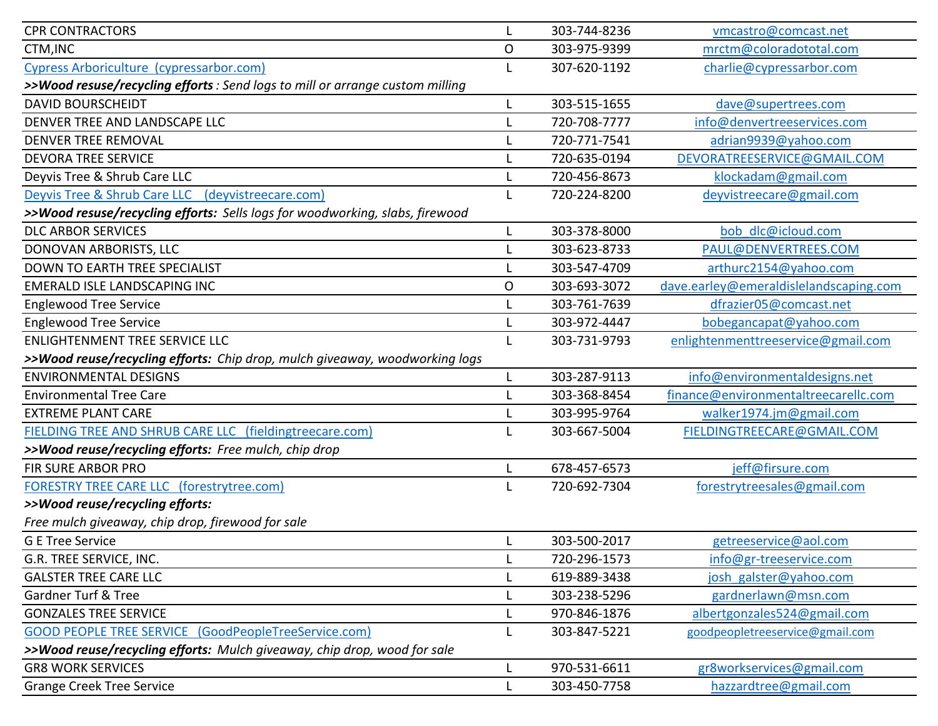| <b>CPR CONTRACTORS</b>                                                        |              | 303-744-8236 | vmcastro@comcast.net                   |
|-------------------------------------------------------------------------------|--------------|--------------|----------------------------------------|
| CTM, INC                                                                      | $\mathsf{O}$ | 303-975-9399 | mrctm@coloradototal.com                |
| Cypress Arboriculture (cypressarbor.com)                                      |              | 307-620-1192 | charlie@cypressarbor.com               |
| >>Wood resuse/recycling efforts : Send logs to mill or arrange custom milling |              |              |                                        |
| <b>DAVID BOURSCHEIDT</b>                                                      |              | 303-515-1655 | dave@supertrees.com                    |
| DENVER TREE AND LANDSCAPE LLC                                                 |              | 720-708-7777 | info@denvertreeservices.com            |
| <b>DENVER TREE REMOVAL</b>                                                    |              | 720-771-7541 | adrian9939@yahoo.com                   |
| <b>DEVORA TREE SERVICE</b>                                                    |              | 720-635-0194 | DEVORATREESERVICE@GMAIL.COM            |
| Deyvis Tree & Shrub Care LLC                                                  |              | 720-456-8673 | klockadam@gmail.com                    |
| Deyvis Tree & Shrub Care LLC (deyvistreecare.com)                             |              | 720-224-8200 | deyvistreecare@gmail.com               |
| >>Wood resuse/recycling efforts: Sells logs for woodworking, slabs, firewood  |              |              |                                        |
| <b>DLC ARBOR SERVICES</b>                                                     |              | 303-378-8000 | bob dlc@icloud.com                     |
| DONOVAN ARBORISTS, LLC                                                        |              | 303-623-8733 | PAUL@DENVERTREES.COM                   |
| <b>DOWN TO EARTH TREE SPECIALIST</b>                                          |              | 303-547-4709 | arthurc2154@yahoo.com                  |
| <b>EMERALD ISLE LANDSCAPING INC</b>                                           | O            | 303-693-3072 | dave.earley@emeraldislelandscaping.com |
| <b>Englewood Tree Service</b>                                                 |              | 303-761-7639 | dfrazier05@comcast.net                 |
| <b>Englewood Tree Service</b>                                                 |              | 303-972-4447 | bobegancapat@yahoo.com                 |
| <b>ENLIGHTENMENT TREE SERVICE LLC</b>                                         |              | 303-731-9793 | enlightenmenttreeservice@gmail.com     |
| >>Wood reuse/recycling efforts: Chip drop, mulch giveaway, woodworking logs   |              |              |                                        |
| <b>ENVIRONMENTAL DESIGNS</b>                                                  | L            | 303-287-9113 | info@environmentaldesigns.net          |
| <b>Environmental Tree Care</b>                                                |              | 303-368-8454 | finance@environmentaltreecarellc.com   |
| <b>EXTREME PLANT CARE</b>                                                     |              | 303-995-9764 | walker1974.jm@gmail.com                |
| FIELDING TREE AND SHRUB CARE LLC (fieldingtreecare.com)                       |              | 303-667-5004 | FIELDINGTREECARE@GMAIL.COM             |
| >>Wood reuse/recycling efforts: Free mulch, chip drop                         |              |              |                                        |
| FIR SURE ARBOR PRO                                                            |              | 678-457-6573 | jeff@firsure.com                       |
| <b>FORESTRY TREE CARE LLC (forestrytree.com)</b>                              |              | 720-692-7304 | forestrytreesales@gmail.com            |
| >>Wood reuse/recycling efforts:                                               |              |              |                                        |
| Free mulch giveaway, chip drop, firewood for sale                             |              |              |                                        |
| <b>G E Tree Service</b>                                                       |              | 303-500-2017 | getreeservice@aol.com                  |
| G.R. TREE SERVICE, INC.                                                       |              | 720-296-1573 | info@gr-treeservice.com                |
| <b>GALSTER TREE CARE LLC</b>                                                  |              | 619-889-3438 | josh galster@yahoo.com                 |
| <b>Gardner Turf &amp; Tree</b>                                                |              | 303-238-5296 | gardnerlawn@msn.com                    |
| <b>GONZALES TREE SERVICE</b>                                                  |              | 970-846-1876 | albertgonzales524@gmail.com            |
| <b>GOOD PEOPLE TREE SERVICE</b><br>(GoodPeopleTreeService.com)                |              | 303-847-5221 | goodpeopletreeservice@gmail.com        |
| >>Wood reuse/recycling efforts: Mulch giveaway, chip drop, wood for sale      |              |              |                                        |
| <b>GR8 WORK SERVICES</b>                                                      |              | 970-531-6611 | gr8workservices@gmail.com              |
| <b>Grange Creek Tree Service</b>                                              |              | 303-450-7758 | hazzardtree@gmail.com                  |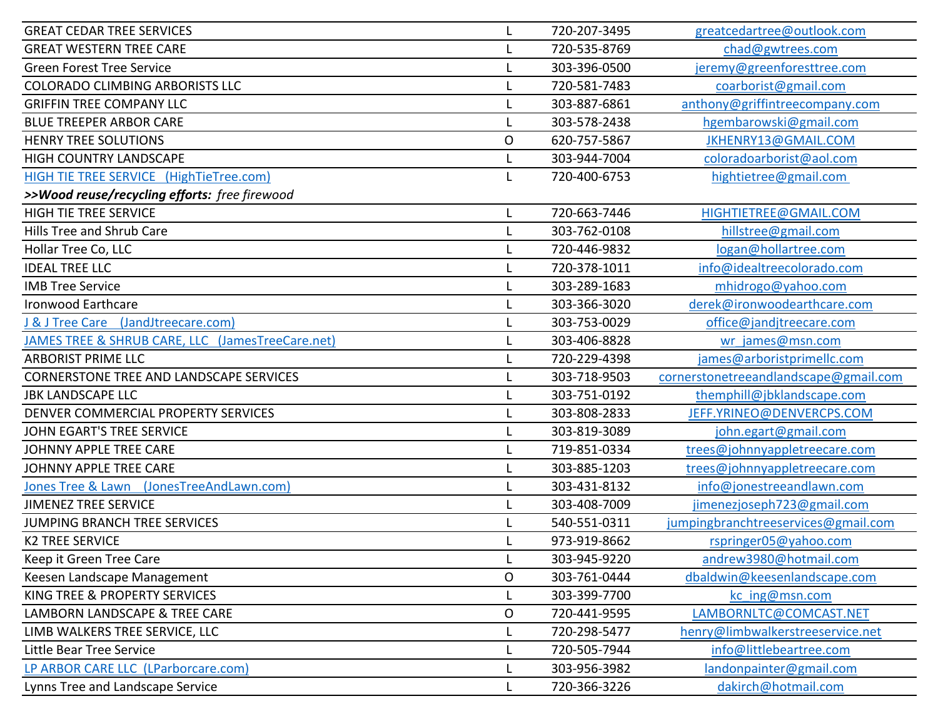| <b>GREAT CEDAR TREE SERVICES</b>                 | L            | 720-207-3495 | greatcedartree@outlook.com            |
|--------------------------------------------------|--------------|--------------|---------------------------------------|
| <b>GREAT WESTERN TREE CARE</b>                   |              | 720-535-8769 | chad@gwtrees.com                      |
| <b>Green Forest Tree Service</b>                 |              | 303-396-0500 | jeremy@greenforesttree.com            |
| <b>COLORADO CLIMBING ARBORISTS LLC</b>           | L            | 720-581-7483 | coarborist@gmail.com                  |
| <b>GRIFFIN TREE COMPANY LLC</b>                  |              | 303-887-6861 | anthony@griffintreecompany.com        |
| <b>BLUE TREEPER ARBOR CARE</b>                   |              | 303-578-2438 | hgembarowski@gmail.com                |
| <b>HENRY TREE SOLUTIONS</b>                      | $\mathsf{O}$ | 620-757-5867 | JKHENRY13@GMAIL.COM                   |
| HIGH COUNTRY LANDSCAPE                           |              | 303-944-7004 | coloradoarborist@aol.com              |
| HIGH TIE TREE SERVICE (HighTieTree.com)          | L            | 720-400-6753 | hightietree@gmail.com                 |
| >>Wood reuse/recycling efforts: free firewood    |              |              |                                       |
| <b>HIGH TIE TREE SERVICE</b>                     | L            | 720-663-7446 | HIGHTIETREE@GMAIL.COM                 |
| Hills Tree and Shrub Care                        |              | 303-762-0108 | hillstree@gmail.com                   |
| Hollar Tree Co, LLC                              | L            | 720-446-9832 | logan@hollartree.com                  |
| <b>IDEAL TREE LLC</b>                            |              | 720-378-1011 | info@idealtreecolorado.com            |
| <b>IMB Tree Service</b>                          | L            | 303-289-1683 | mhidrogo@yahoo.com                    |
| <b>Ironwood Earthcare</b>                        |              | 303-366-3020 | derek@ironwoodearthcare.com           |
| (JandJtreecare.com)<br>J & J Tree Care           |              | 303-753-0029 | office@jandjtreecare.com              |
| JAMES TREE & SHRUB CARE, LLC (JamesTreeCare.net) |              | 303-406-8828 | wr james@msn.com                      |
| <b>ARBORIST PRIME LLC</b>                        |              | 720-229-4398 | james@arboristprimellc.com            |
| <b>CORNERSTONE TREE AND LANDSCAPE SERVICES</b>   | L            | 303-718-9503 | cornerstonetreeandlandscape@gmail.com |
| <b>JBK LANDSCAPE LLC</b>                         |              | 303-751-0192 | themphill@jbklandscape.com            |
| DENVER COMMERCIAL PROPERTY SERVICES              |              | 303-808-2833 | JEFF.YRINEO@DENVERCPS.COM             |
| JOHN EGART'S TREE SERVICE                        |              | 303-819-3089 | john.egart@gmail.com                  |
| <b>JOHNNY APPLE TREE CARE</b>                    | L            | 719-851-0334 | trees@johnnyappletreecare.com         |
| <b>JOHNNY APPLE TREE CARE</b>                    |              | 303-885-1203 | trees@johnnyappletreecare.com         |
| (JonesTreeAndLawn.com)<br>Jones Tree & Lawn      |              | 303-431-8132 | info@jonestreeandlawn.com             |
| <b>JIMENEZ TREE SERVICE</b>                      |              | 303-408-7009 | jimenezjoseph723@gmail.com            |
| <b>JUMPING BRANCH TREE SERVICES</b>              |              | 540-551-0311 | jumpingbranchtreeservices@gmail.com   |
| <b>K2 TREE SERVICE</b>                           |              | 973-919-8662 | rspringer05@yahoo.com                 |
| Keep it Green Tree Care                          |              | 303-945-9220 | andrew3980@hotmail.com                |
| Keesen Landscape Management                      | O            | 303-761-0444 | dbaldwin@keesenlandscape.com          |
| KING TREE & PROPERTY SERVICES                    |              | 303-399-7700 | kc ing@msn.com                        |
| LAMBORN LANDSCAPE & TREE CARE                    | O            | 720-441-9595 | LAMBORNLTC@COMCAST.NET                |
| LIMB WALKERS TREE SERVICE, LLC                   |              | 720-298-5477 | henry@limbwalkerstreeservice.net      |
| Little Bear Tree Service                         |              | 720-505-7944 | info@littlebeartree.com               |
| LP ARBOR CARE LLC (LParborcare.com)              |              | 303-956-3982 | landonpainter@gmail.com               |
| Lynns Tree and Landscape Service                 |              | 720-366-3226 | dakirch@hotmail.com                   |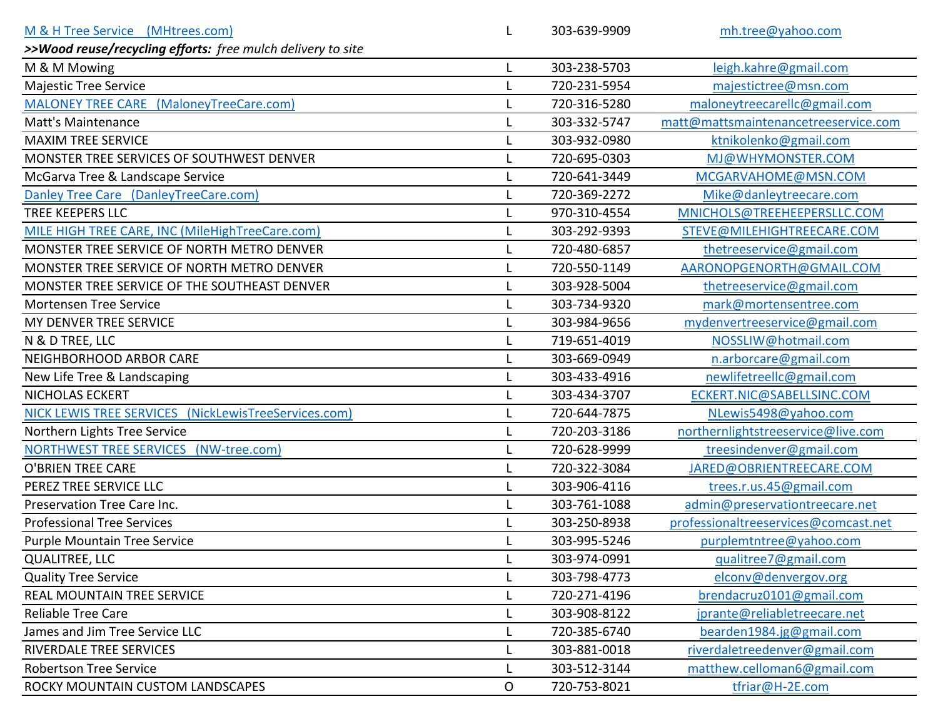| M & H Tree Service (MHtrees.com)                            |   | 303-639-9909 | mh.tree@yahoo.com                    |
|-------------------------------------------------------------|---|--------------|--------------------------------------|
| >>Wood reuse/recycling efforts: free mulch delivery to site |   |              |                                      |
| M & M Mowing                                                |   | 303-238-5703 | leigh.kahre@gmail.com                |
| <b>Majestic Tree Service</b>                                |   | 720-231-5954 | majestictree@msn.com                 |
| MALONEY TREE CARE (MaloneyTreeCare.com)                     |   | 720-316-5280 | maloneytreecarellc@gmail.com         |
| <b>Matt's Maintenance</b>                                   |   | 303-332-5747 | matt@mattsmaintenancetreeservice.com |
| <b>MAXIM TREE SERVICE</b>                                   |   | 303-932-0980 | ktnikolenko@gmail.com                |
| MONSTER TREE SERVICES OF SOUTHWEST DENVER                   |   | 720-695-0303 | MJ@WHYMONSTER.COM                    |
| McGarva Tree & Landscape Service                            |   | 720-641-3449 | MCGARVAHOME@MSN.COM                  |
| Danley Tree Care (DanleyTreeCare.com)                       |   | 720-369-2272 | Mike@danleytreecare.com              |
| <b>TREE KEEPERS LLC</b>                                     |   | 970-310-4554 | MNICHOLS@TREEHEEPERSLLC.COM          |
| MILE HIGH TREE CARE, INC (MileHighTreeCare.com)             |   | 303-292-9393 | STEVE@MILEHIGHTREECARE.COM           |
| MONSTER TREE SERVICE OF NORTH METRO DENVER                  |   | 720-480-6857 | thetreeservice@gmail.com             |
| MONSTER TREE SERVICE OF NORTH METRO DENVER                  |   | 720-550-1149 | AARONOPGENORTH@GMAIL.COM             |
| MONSTER TREE SERVICE OF THE SOUTHEAST DENVER                |   | 303-928-5004 | thetreeservice@gmail.com             |
| <b>Mortensen Tree Service</b>                               |   | 303-734-9320 | mark@mortensentree.com               |
| MY DENVER TREE SERVICE                                      |   | 303-984-9656 | mydenvertreeservice@gmail.com        |
| N & D TREE, LLC                                             |   | 719-651-4019 | NOSSLIW@hotmail.com                  |
| <b>NEIGHBORHOOD ARBOR CARE</b>                              |   | 303-669-0949 | n.arborcare@gmail.com                |
| New Life Tree & Landscaping                                 |   | 303-433-4916 | newlifetreellc@gmail.com             |
| <b>NICHOLAS ECKERT</b>                                      |   | 303-434-3707 | ECKERT.NIC@SABELLSINC.COM            |
| NICK LEWIS TREE SERVICES (NickLewisTreeServices.com)        |   | 720-644-7875 | NLewis5498@yahoo.com                 |
| Northern Lights Tree Service                                |   | 720-203-3186 | northernlightstreeservice@live.com   |
| <b>NORTHWEST TREE SERVICES</b><br>(NW-tree.com)             |   | 720-628-9999 | treesindenver@gmail.com              |
| <b>O'BRIEN TREE CARE</b>                                    |   | 720-322-3084 | JARED@OBRIENTREECARE.COM             |
| PEREZ TREE SERVICE LLC                                      |   | 303-906-4116 | trees.r.us.45@gmail.com              |
| Preservation Tree Care Inc.                                 |   | 303-761-1088 | admin@preservationtreecare.net       |
| <b>Professional Tree Services</b>                           |   | 303-250-8938 | professionaltreeservices@comcast.net |
| <b>Purple Mountain Tree Service</b>                         |   | 303-995-5246 | purplemtntree@yahoo.com              |
| <b>QUALITREE, LLC</b>                                       |   | 303-974-0991 | gualitree7@gmail.com                 |
| <b>Quality Tree Service</b>                                 |   | 303-798-4773 | elconv@denvergov.org                 |
| REAL MOUNTAIN TREE SERVICE                                  |   | 720-271-4196 | brendacruz0101@gmail.com             |
| <b>Reliable Tree Care</b>                                   |   | 303-908-8122 | jprante@reliabletreecare.net         |
| James and Jim Tree Service LLC                              |   | 720-385-6740 | bearden1984.jg@gmail.com             |
| <b>RIVERDALE TREE SERVICES</b>                              |   | 303-881-0018 | riverdaletreedenver@gmail.com        |
| <b>Robertson Tree Service</b>                               |   | 303-512-3144 | matthew.celloman6@gmail.com          |
| ROCKY MOUNTAIN CUSTOM LANDSCAPES                            | O | 720-753-8021 | tfriar@H-2E.com                      |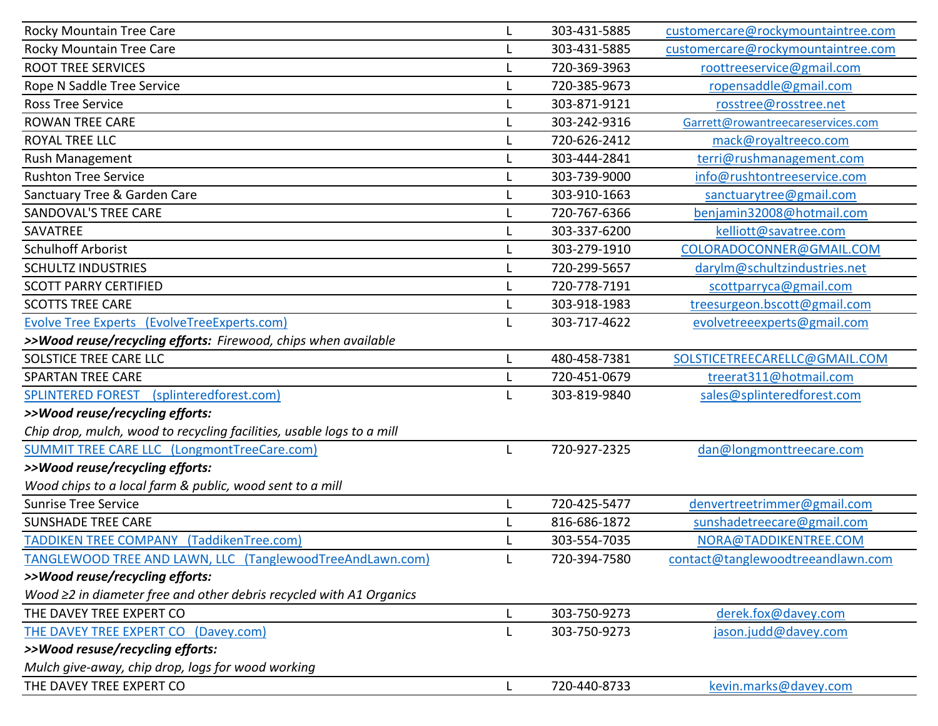| Rocky Mountain Tree Care                                              | 303-431-5885 | customercare@rockymountaintree.com |
|-----------------------------------------------------------------------|--------------|------------------------------------|
| Rocky Mountain Tree Care                                              | 303-431-5885 | customercare@rockymountaintree.com |
| <b>ROOT TREE SERVICES</b>                                             | 720-369-3963 | roottreeservice@gmail.com          |
| Rope N Saddle Tree Service                                            | 720-385-9673 | ropensaddle@gmail.com              |
| <b>Ross Tree Service</b>                                              | 303-871-9121 | rosstree@rosstree.net              |
| <b>ROWAN TREE CARE</b>                                                | 303-242-9316 | Garrett@rowantreecareservices.com  |
| <b>ROYAL TREE LLC</b>                                                 | 720-626-2412 | mack@royaltreeco.com               |
| <b>Rush Management</b>                                                | 303-444-2841 | terri@rushmanagement.com           |
| <b>Rushton Tree Service</b>                                           | 303-739-9000 | info@rushtontreeservice.com        |
| Sanctuary Tree & Garden Care                                          | 303-910-1663 | sanctuarytree@gmail.com            |
| <b>SANDOVAL'S TREE CARE</b>                                           | 720-767-6366 | benjamin32008@hotmail.com          |
| SAVATREE                                                              | 303-337-6200 | kelliott@savatree.com              |
| <b>Schulhoff Arborist</b>                                             | 303-279-1910 | COLORADOCONNER@GMAIL.COM           |
| <b>SCHULTZ INDUSTRIES</b>                                             | 720-299-5657 | darylm@schultzindustries.net       |
| <b>SCOTT PARRY CERTIFIED</b>                                          | 720-778-7191 | scottparryca@gmail.com             |
| <b>SCOTTS TREE CARE</b>                                               | 303-918-1983 | treesurgeon.bscott@gmail.com       |
| Evolve Tree Experts (EvolveTreeExperts.com)                           | 303-717-4622 | evolvetreeexperts@gmail.com        |
| >>Wood reuse/recycling efforts: Firewood, chips when available        |              |                                    |
| SOLSTICE TREE CARE LLC                                                | 480-458-7381 | SOLSTICETREECARELLC@GMAIL.COM      |
| <b>SPARTAN TREE CARE</b>                                              | 720-451-0679 | treerat311@hotmail.com             |
| <b>SPLINTERED FOREST</b><br>(splinteredforest.com)                    | 303-819-9840 | sales@splinteredforest.com         |
| >>Wood reuse/recycling efforts:                                       |              |                                    |
| Chip drop, mulch, wood to recycling facilities, usable logs to a mill |              |                                    |
| SUMMIT TREE CARE LLC (LongmontTreeCare.com)                           | 720-927-2325 | dan@longmonttreecare.com           |
| >>Wood reuse/recycling efforts:                                       |              |                                    |
| Wood chips to a local farm & public, wood sent to a mill              |              |                                    |
| <b>Sunrise Tree Service</b>                                           | 720-425-5477 | denvertreetrimmer@gmail.com        |
| <b>SUNSHADE TREE CARE</b>                                             | 816-686-1872 | sunshadetreecare@gmail.com         |
| <b>TADDIKEN TREE COMPANY</b><br>(TaddikenTree.com)                    | 303-554-7035 | NORA@TADDIKENTREE.COM              |
| TANGLEWOOD TREE AND LAWN, LLC (TanglewoodTreeAndLawn.com)             | 720-394-7580 | contact@tanglewoodtreeandlawn.com  |
| >>Wood reuse/recycling efforts:                                       |              |                                    |
| Wood ≥2 in diameter free and other debris recycled with A1 Organics   |              |                                    |
| THE DAVEY TREE EXPERT CO                                              | 303-750-9273 | derek.fox@davey.com                |
| THE DAVEY TREE EXPERT CO (Davey.com)                                  | 303-750-9273 | jason.judd@davey.com               |
| >>Wood resuse/recycling efforts:                                      |              |                                    |
| Mulch give-away, chip drop, logs for wood working                     |              |                                    |
| THE DAVEY TREE EXPERT CO                                              | 720-440-8733 | kevin.marks@davey.com              |